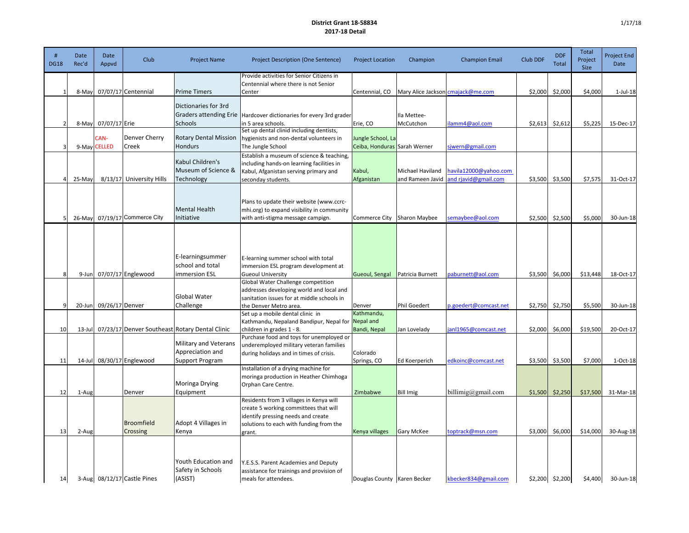## **District Grant 18-58834 2017-18 Detail**

| <b>DG18</b>    | Date<br>Rec'd | Date<br>Appvd        | <b>Club</b>                   | <b>Project Name</b>                                                     | <b>Project Description (One Sentence)</b>                                                                                                                                   | <b>Project Location</b>                           | Champion                             | <b>Champion Email</b>                         | Club DDF | <b>DDF</b><br><b>Total</b> | <b>Total</b><br>Project<br>Size | Project End<br>Date |
|----------------|---------------|----------------------|-------------------------------|-------------------------------------------------------------------------|-----------------------------------------------------------------------------------------------------------------------------------------------------------------------------|---------------------------------------------------|--------------------------------------|-----------------------------------------------|----------|----------------------------|---------------------------------|---------------------|
| $\mathbf{1}$   | 8-May         |                      | 07/07/17 Centennial           | Prime Timers                                                            | Provide activities for Senior Citizens in<br>Centennial where there is not Senior<br>Center                                                                                 | Centennial, CO                                    |                                      | Mary Alice Jackson cmajack@me.com             | \$2,000  | \$2,000                    | \$4,000                         | $1$ -Jul- $18$      |
| $\overline{2}$ | 8-May         | 07/07/17 Erie        |                               | Dictionaries for 3rd<br><b>Graders attending Erie</b><br><b>Schools</b> | Hardcover dictionaries for every 3rd grader<br>in 5 area schools.                                                                                                           | Erie, CO                                          | Ila Mettee-<br>McCutchon             | lamm4@aol.com                                 |          | $$2,613$ $$2,612$          | \$5,225                         | 15-Dec-17           |
| $\overline{3}$ |               | CAN-<br>9-May CELLED | Denver Cherry<br>Creek        | <b>Rotary Dental Mission</b><br><b>Hondurs</b>                          | Set up dental clinid including dentists,<br>hygienists and non-dental volunteers in<br>The Jungle School                                                                    | Jungle School, La<br>Ceiba, Honduras Sarah Werner |                                      | sjwern@gmail.com                              |          |                            |                                 |                     |
| $\overline{A}$ | 25-May        |                      | 8/13/17 University Hills      | Kabul Children's<br>Museum of Science &<br>Technology                   | Establish a museum of science & teaching,<br>including hands-on learning facilities in<br>Kabul, Afganistan serving primary and<br>seconday students.                       | Kabul,<br>Afganistan                              | Michael Haviland<br>and Rameen Javid | havila12000@yahoo.com<br>and rjavid@gmail.com | \$3,500  | \$3,500                    | \$7,575                         | 31-Oct-17           |
| 5              | 26-May        |                      | 07/19/17 Commerce City        | <b>Mental Health</b><br>Initiative                                      | Plans to update their website (www.ccrc-<br>mhi.org) to expand visibility in community<br>with anti-stigma message campign.                                                 | Commerce City                                     | Sharon Maybee                        | semaybee@aol.com                              |          | $$2,500$ $$2,500$          | \$5,000                         | 30-Jun-18           |
|                |               |                      |                               | E-learningsummer<br>school and total                                    | E-learning summer school with total<br>immersion ESL program development at                                                                                                 |                                                   |                                      |                                               |          |                            |                                 |                     |
| 8              | $9$ -Jun      |                      | 07/07/17 Englewood            | immersion ESL                                                           | <b>Gueoul University</b><br>Global Water Challenge competition                                                                                                              | Gueoul, Sengal                                    | Patricia Burnett                     | paburnett@aol.com                             | \$3,500  | \$6,000                    | \$13,448                        | 18-Oct-17           |
| 9              | $20$ -Jun     | 09/26/17 Denver      |                               | Global Water<br>Challenge                                               | addresses developing world and local and<br>sanitation issues for at middle schools in<br>the Denver Metro area.                                                            | Denver                                            | Phil Goedert                         | p.goedert@comcast.net                         | \$2,750  | \$2,750                    | \$5,500                         | 30-Jun-18           |
| 10             | $13$ -Jul     |                      |                               | 07/23/17 Denver Southeast Rotary Dental Clinic                          | Set up a mobile dental clinic in<br>Kathmandu, Nepaland Bandipur, Nepal for<br>children in grades 1 - 8.                                                                    | Kathmandu,<br>Nepal and<br>Bandi, Nepal           | Jan Lovelady                         | anl1965@comcast.net                           | \$2,000  | \$6,000                    | \$19,500                        | 20-Oct-17           |
| 11             |               |                      | 14-Jul 08/30/17 Englewood     | <b>Military and Veterans</b><br>Appreciation and<br>Support Program     | Purchase food and toys for unemployed or<br>underemployed military veteran families<br>during holidays and in times of crisis.                                              | Colorado<br>Springs, CO                           | Ed Koerperich                        | edkoinc@comcast.net                           | \$3,500  | \$3,500                    | \$7,000                         | 1-Oct-18            |
| 12             | 1-Aug         |                      | Denver                        | Moringa Drying<br>Equipment                                             | Installation of a drying machine for<br>moringa production in Heather Chimhoga<br>Orphan Care Centre.                                                                       | Zimbabwe                                          | <b>Bill Imig</b>                     | billimig@gmail.com                            | \$1,500  | \$2,250                    | \$17,500                        | 31-Mar-18           |
| 13             | 2-Aug         |                      | Broomfield<br>Crossing        | Adopt 4 Villages in<br>Kenya                                            | Residents from 3 villages in Kenya will<br>create 5 working committees that will<br>identify pressing needs and create<br>solutions to each with funding from the<br>grant. | Kenya villages                                    | Gary McKee                           | toptrack@msn.com                              | \$3,000  | \$6,000                    | \$14,000                        | 30-Aug-18           |
| 14             |               |                      | 3-Aug $08/12/17$ Castle Pines | Youth Education and<br>Safety in Schools<br>(ASIST)                     | Y.E.S.S. Parent Academies and Deputy<br>assistance for trainings and provision of<br>meals for attendees.                                                                   | Douglas County   Karen Becker                     |                                      | kbecker834@gmail.com                          |          | $$2,200$ $$2,200$          | \$4,400                         | 30-Jun-18           |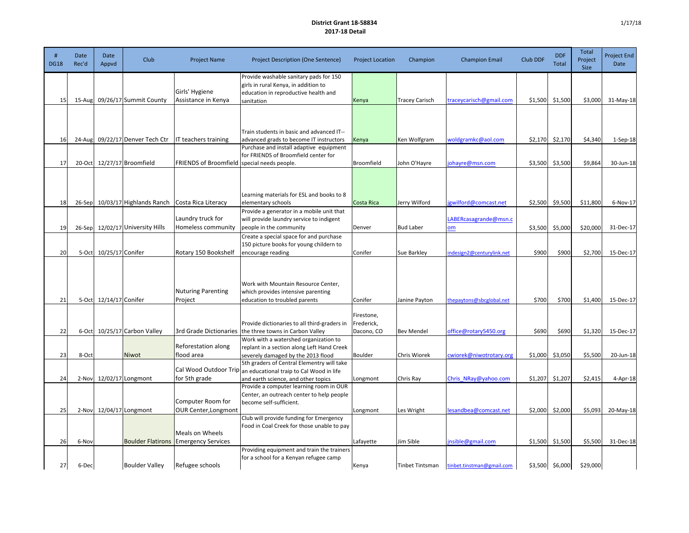## **District Grant 18-58834 2017-18 Detail**

| <b>DG18</b> | Date<br>Rec'd | Date<br>Appvd          | <b>Club</b>                      | <b>Project Name</b>                              | <b>Project Description (One Sentence)</b>                                                                                                                                                      | <b>Project Location</b>                | Champion              | <b>Champion Email</b>     | Club DDF | <b>DDF</b><br><b>Total</b> | <b>Total</b><br>Project<br><b>Size</b> | <b>Project End</b><br>Date |
|-------------|---------------|------------------------|----------------------------------|--------------------------------------------------|------------------------------------------------------------------------------------------------------------------------------------------------------------------------------------------------|----------------------------------------|-----------------------|---------------------------|----------|----------------------------|----------------------------------------|----------------------------|
| 15          |               |                        | 15-Aug 09/26/17 Summit County    | Girls' Hygiene<br>Assistance in Kenya            | Provide washable sanitary pads for 150<br>girls in rural Kenya, in addition to<br>education in reproductive health and<br>sanitation                                                           | Kenya                                  | <b>Tracey Carisch</b> | traceycarisch@gmail.com   |          | $$1,500$ $$1,500$          | \$3,000                                | 31-May-18                  |
|             |               |                        |                                  |                                                  | Train students in basic and advanced IT--                                                                                                                                                      |                                        |                       |                           |          |                            |                                        |                            |
| 16          |               |                        | 24-Aug 09/22/17 Denver Tech Ctr  | IT teachers training                             | advanced grads to become IT instructors<br>Purchase and install adaptive equipment                                                                                                             | Kenya                                  | Ken Wolfgram          | woldgramkc@aol.com        | \$2,170  | \$2,170                    | \$4,340                                | $1-Sep-18$                 |
| 17          |               |                        | 20-Oct   12/27/17 Broomfield     | <b>FRIENDS of Broomfield</b>                     | for FRIENDS of Broomfield center for<br>special needs people.                                                                                                                                  | Broomfield                             | John O'Hayre          | johayre@msn.com           | \$3,500  | \$3,500                    | \$9,864                                | 30-Jun-18                  |
| 18          |               |                        | 26-Sep 10/03/17 Highlands Ranch  | Costa Rica Literacy                              | Learning materials for ESL and books to 8<br>elementary schools                                                                                                                                | Costa Rica                             | Jerry Wilford         | gwilford@comcast.net      | \$2,500  | \$9,500                    | \$11,800                               | 6-Nov-17                   |
|             |               |                        |                                  | Laundry truck for                                | Provide a generator in a mobile unit that<br>will provide laundry service to indigent                                                                                                          |                                        |                       | LABERcasagrande@msn.c     |          |                            |                                        |                            |
| 19          |               |                        | 26-Sep 12/02/17 University Hills | Homeless community                               | people in the community<br>Create a special space for and purchase                                                                                                                             | Denver                                 | <b>Bud Laber</b>      | om                        | \$3,500  | \$5,000                    | \$20,000                               | 31-Dec-17                  |
| 20          |               | 5-Oct 10/25/17 Conifer |                                  | Rotary 150 Bookshelf                             | 150 picture books for young childern to<br>encourage reading                                                                                                                                   | Conifer                                | Sue Barkley           | indesign2@centurylink.net | \$900    | \$900                      | \$2,700                                | 15-Dec-17                  |
| 21          |               | 5-Oct 12/14/17 Conifer |                                  | <b>Nuturing Parenting</b><br>Project             | Work with Mountain Resource Center,<br>which provides intensive parenting<br>education to troubled parents                                                                                     | Conifer                                | Janine Payton         | thepaytons@sbcglobal.net  | \$700    | \$700                      | \$1,400                                | 15-Dec-17                  |
| 22          |               |                        | 6-Oct 10/25/17 Carbon Valley     | 3rd Grade Dictionaries                           | Provide dictionaries to all third-graders in<br>the three towns in Carbon Valley                                                                                                               | Firestone,<br>Frederick,<br>Dacono, CO | <b>Bev Mendel</b>     | office@rotary5450.org     | \$690    | \$690                      | \$1,320                                | 15-Dec-17                  |
| 23          | 8-Oct         |                        | Niwot                            | Reforestation along<br>flood area                | Work with a watershed organization to<br>replant in a section along Left Hand Creek<br>severely damaged by the 2013 flood                                                                      | Boulder                                | Chris Wiorek          | cwiorek@niwotrotary.org   | \$1,000  | \$3,050                    | \$5,500                                | 20-Jun-18                  |
| 24          |               |                        | 2-Nov 12/02/17 Longmont          | for 5th grade                                    | 5th graders of Central Elementry will take<br>Cal Wood Outdoor Trip an educational traip to Cal Wood in life<br>and earth science, and other topics<br>Provide a computer learning room in OUR | Longmont                               | Chris Ray             | Chris NRay@yahoo.com      | \$1,207  | \$1,207                    | \$2,415                                | $4-Apr-18$                 |
| 25          |               |                        | 2-Nov 12/04/17 Longmont          | Computer Room for<br><b>OUR Center, Longmont</b> | Center, an outreach center to help people<br>become self-sufficient.                                                                                                                           | Longmont                               | Les Wright            | lesandbea@comcast.net     | \$2,000  | \$2,000                    | \$5,093                                | 20-May-18                  |
|             |               |                        |                                  | Meals on Wheels                                  | Club will provide funding for Emergency<br>Food in Coal Creek for those unable to pay                                                                                                          |                                        |                       |                           |          |                            |                                        |                            |
| 26          | 6-Nov         |                        |                                  | <b>Boulder Flatirons Emergency Services</b>      | Providing equipment and train the trainers                                                                                                                                                     | Lafayette                              | Jim Sible             | jnsible@gmail.com         | \$1,500  | \$1,500                    | \$5,500                                | 31-Dec-18                  |
| 27          | 6-Dec         |                        | <b>Boulder Valley</b>            | Refugee schools                                  | for a school for a Kenyan refugee camp                                                                                                                                                         | Kenya                                  | Tinbet Tintsman       | tinbet.tinstman@gmail.com |          | $$3,500$ $$6,000$          | \$29,000                               |                            |